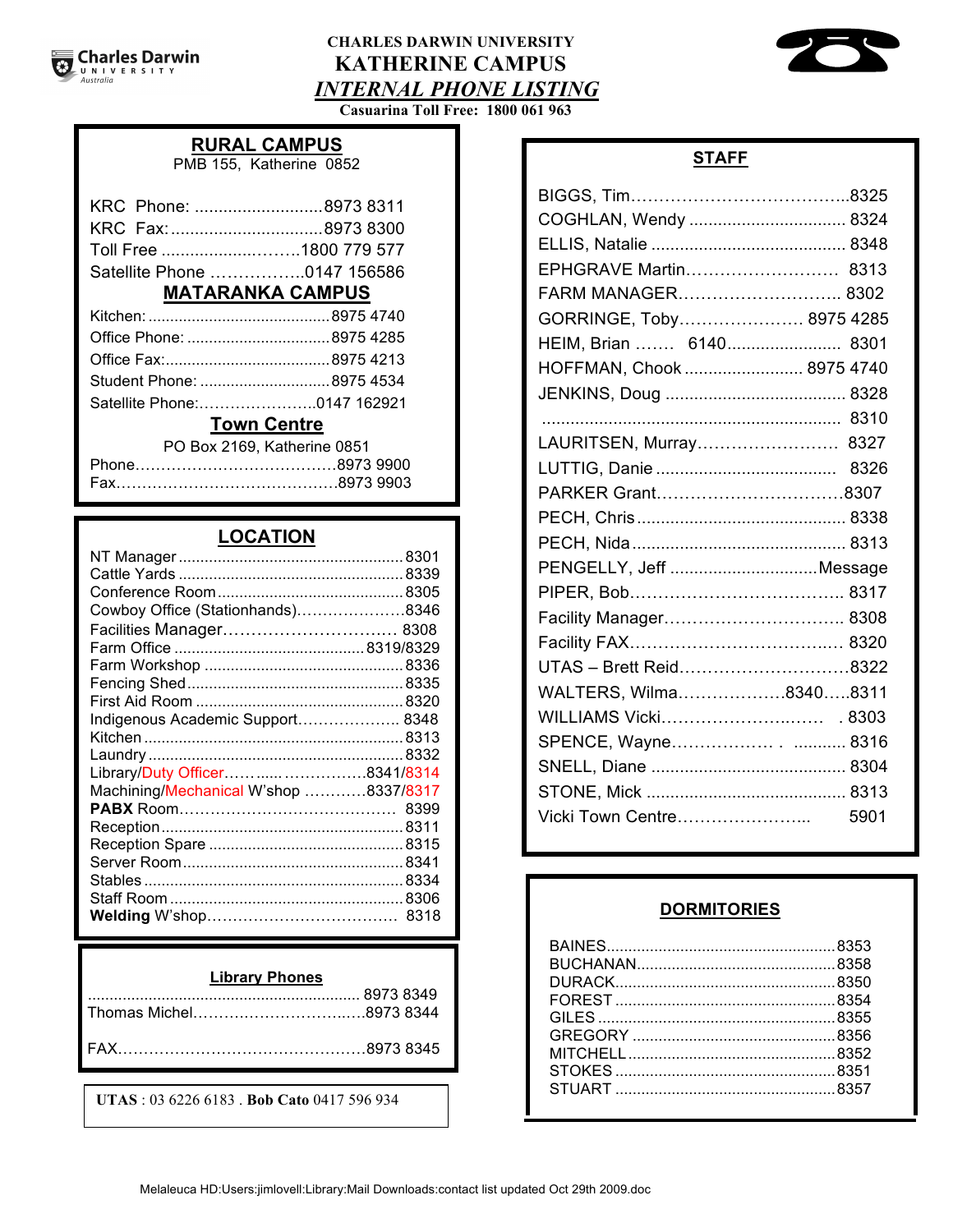# **CHARLES DARWIN UNIVERSITY KATHERINE CAMPUS** *INTERNAL PHONE LISTING*



**Casuarina Toll Free: 1800 061 963**

## **RURAL CAMPUS**

PMB 155, Katherine 0852

| KRC Phone: 8973 8311        |
|-----------------------------|
|                             |
|                             |
| Satellite Phone 0147 156586 |
|                             |

# **MATARANKA CAMPUS**

| <b>Example 19 Town Control</b> |  |
|--------------------------------|--|
|                                |  |
|                                |  |
|                                |  |
|                                |  |
|                                |  |

#### <u>**TOWN Centre**</u>

PO Box 2169, Katherine 0851

# **LOCATION**

| Cowboy Office (Stationhands)8346      |  |
|---------------------------------------|--|
| Facilities Manager 8308               |  |
|                                       |  |
|                                       |  |
|                                       |  |
|                                       |  |
| Indigenous Academic Support 8348      |  |
|                                       |  |
|                                       |  |
| Library/Duty Officer  8341/8314       |  |
| Machining/Mechanical W'shop 8337/8317 |  |
|                                       |  |
|                                       |  |
|                                       |  |
|                                       |  |
|                                       |  |
|                                       |  |
|                                       |  |
|                                       |  |

#### **Library Phones**

| Thomas Michel8973 8344 |
|------------------------|
|                        |

**UTAS** : 03 6226 6183 . **Bob Cato** 0417 596 934

|  | ۰. |
|--|----|
|  |    |

| COGHLAN, Wendy  8324      |
|---------------------------|
|                           |
| EPHGRAVE Martin 8313      |
| FARM MANAGER 8302         |
| GORRINGE, Toby 8975 4285  |
| HEIM, Brian  6140 8301    |
| HOFFMAN, Chook  8975 4740 |
|                           |
|                           |
| LAURITSEN, Murray 8327    |
|                           |
| PARKER Grant8307          |
|                           |
|                           |
| PENGELLY, Jeff Message    |
|                           |
| Facility Manager 8308     |
|                           |
| UTAS - Brett Reid8322     |
| WALTERS, Wilma83408311    |
|                           |
| SPENCE, Wayne 8316        |
|                           |
|                           |
| Vicki Town Centre<br>5901 |
|                           |

#### **WORMITORIES**